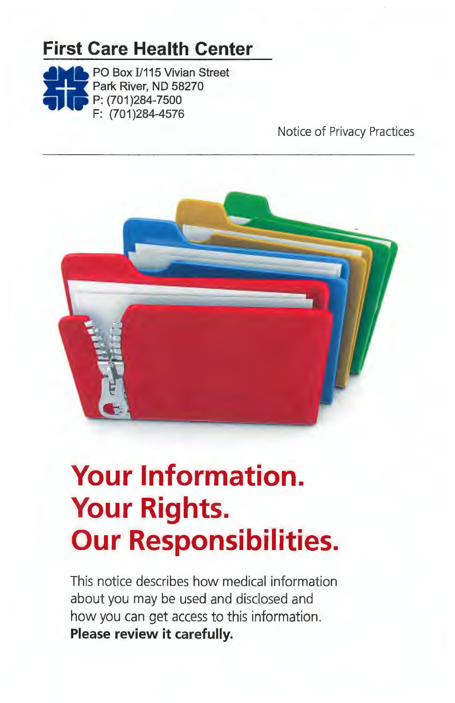# **First Care Health Center**<br> **14th PO Box I/115 Vivian Street**<br> **14th Park River, ND 58270**

P: (701)284-7500 F: (701 )284-4576

Notice of Privacy Practices



# **Your Information. Your Rights. Our Responsibilities.**

This notice describes how medical information about you may be used and disclosed and how you can get access to this information. **Please review it carefully.**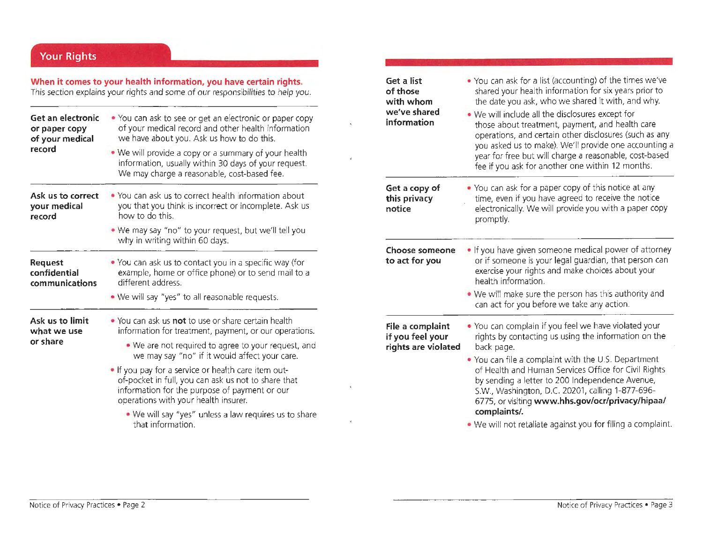### **Your Rights**

**When it comes to your health information, you have certain rights.**  This section explains your rights and some of our responsibilities to help you.

| Get an electronic<br>or paper copy<br>of your medical<br>record | • You can ask to see or get an electronic or paper copy<br>of your medical record and other health information<br>we have about you. Ask us how to do this.                                         |  |
|-----------------------------------------------------------------|-----------------------------------------------------------------------------------------------------------------------------------------------------------------------------------------------------|--|
|                                                                 | . We will provide a copy or a summary of your health<br>information, usually within 30 days of your request.<br>We may charge a reasonable, cost-based fee.                                         |  |
| Ask us to correct<br>your medical<br>record                     | • You can ask us to correct health information about<br>you that you think is incorrect or incomplete. Ask us<br>how to do this.                                                                    |  |
|                                                                 | . We may say "no" to your request, but we'll tell you<br>why in writing within 60 days.                                                                                                             |  |
| <b>Request</b><br>confidential<br>communications                | . You can ask us to contact you in a specific way (for<br>example, home or office phone) or to send mail to a<br>different address.                                                                 |  |
|                                                                 | . We will say "yes" to all reasonable requests.                                                                                                                                                     |  |
| Ask us to limit<br>what we use<br>or share                      | • You can ask us <b>not</b> to use or share certain health.<br>information for treatment, payment, or our operations.                                                                               |  |
|                                                                 | . We are not required to agree to your request, and<br>we may say "no" if it would affect your care.                                                                                                |  |
|                                                                 | • If you pay for a service or health care item out-<br>of-pocket in full, you can ask us not to share that<br>information for the purpose of payment or our<br>operations with your health insurer. |  |
|                                                                 | . We will say "yes" unless a law requires us to share                                                                                                                                               |  |

that information.

**we've shared information Get a copy of this privacy notice Choose someone to act for you File a complaint if you feel your rights are violated**  • We will include all the disclosures except for those about treatment, payment, and health care operations, and certain other disclosures (such as any you asked us to make). We'll provide one accounting a year for free but will charge a reasonable, cost-based fee if you ask for another one within 12 months. • You can ask for a paper copy of this notice at any time, even if you have agreed to receive the notice electronically. We will provide you with a paper copy promptly. • If you have given someone medical power of attorney or if someone is your legal guardian, that person can exercise your rights and make choices about your health information. • We will make sure the person has this authority and can act for you before we take any action. • You can complain if you feel we have violated your rights by contacting us using the information on the back page. • You can file a complaint with the U.S. Department

**Get a list of those with whom** 

> of Health and Human Services Office for Civil Rights by sending a letter to 200 Independence Avenue, S.W., Washington, D.C. 20201, calling 1-877-696- 6775, or visiting **www.hhs.gov/ocr/privacy/hipaa/ complaints/.**

> • You can ask for a list (accounting) of the times we've shared your health information for six years prior to the date you ask, who we shared it with, and why.

• We will not retaliate against you for filing a complaint.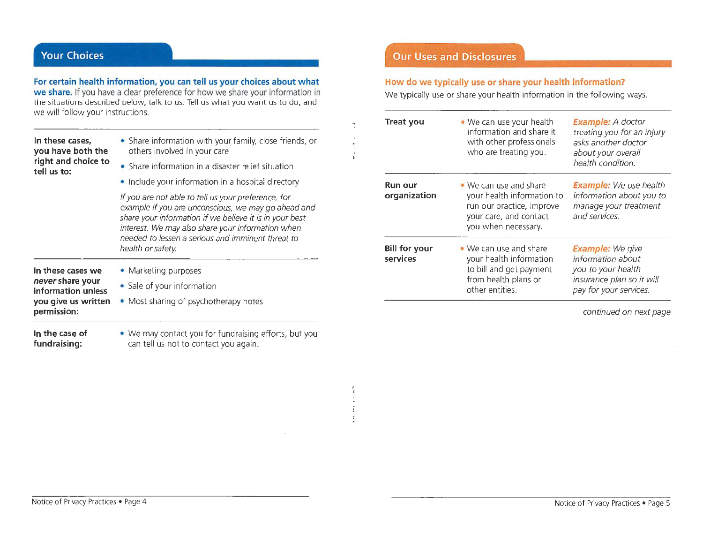# **Your Choices**

**For certain health information, you can tell us your choices about what we share.** If you have a clear preference for how we share your information in the situations described below, talk to us. Tell us what you want us to do, and we will follow your instructions.

| In these cases,<br>you have both the<br>right and choice to<br>tell us to:                        | • Share information with your family, close friends, or<br>others involved in your care                                                                                                                                                                                                              |  |
|---------------------------------------------------------------------------------------------------|------------------------------------------------------------------------------------------------------------------------------------------------------------------------------------------------------------------------------------------------------------------------------------------------------|--|
|                                                                                                   | • Share information in a disaster relief situation                                                                                                                                                                                                                                                   |  |
|                                                                                                   | • Include your information in a hospital directory                                                                                                                                                                                                                                                   |  |
|                                                                                                   | If you are not able to tell us your preference, for<br>example if you are unconscious, we may go ahead and<br>share your information if we believe it is in your best<br>interest. We may also share your information when<br>needed to lessen a serious and imminent threat to<br>health or safety. |  |
| In these cases we<br>never share your<br>information unless<br>you give us written<br>permission: | • Marketing purposes                                                                                                                                                                                                                                                                                 |  |
|                                                                                                   | • Sale of your information                                                                                                                                                                                                                                                                           |  |
|                                                                                                   | • Most sharing of psychotherapy notes                                                                                                                                                                                                                                                                |  |
| In the case of                                                                                    | • We may contact you for fundraising efforts, but you                                                                                                                                                                                                                                                |  |

**fund raising:** 

• We may contact you for fundraising efforts, but you can tell us not to contact you again .

# **Our Uses and Disclosures**

 $\mathfrak{r}$  .

#### **How do we typically use or share your health information?**

We typically use or share your health information in the following ways.

| <b>Treat you</b>                 | • We can use your health<br>information and share it<br>with other professionals<br>who are treating you.                          | <b>Example:</b> A doctor<br>treating you for an injury<br>asks another doctor<br>about your overall<br>health condition.  |
|----------------------------------|------------------------------------------------------------------------------------------------------------------------------------|---------------------------------------------------------------------------------------------------------------------------|
| Run our<br>organization          | • We can use and share<br>your health information to<br>run our practice, improve<br>your care, and contact<br>you when necessary. | <b>Example:</b> We use health<br>information about you to<br>manage your treatment<br>and services.                       |
| <b>Bill for your</b><br>services | • We can use and share<br>your health information<br>to bill and get payment<br>from health plans or<br>other entities.            | <b>Example:</b> We give<br>information about<br>you to your health<br>insurance plan so it will<br>pay for your services. |

continued on next page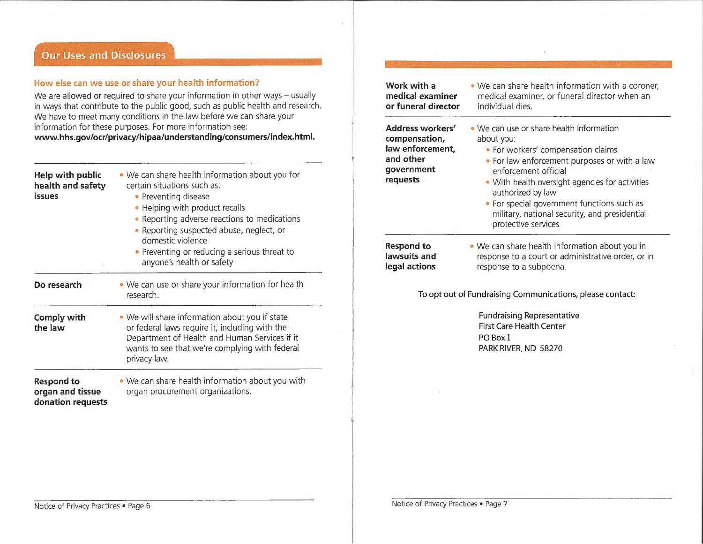#### **Our Uses and Disclosures**

#### **How else can we use or share your health information?**

We are allowed or required to share your information in other ways - usually in ways that contribute to the public good, such as public health and research. We have to meet many conditions in the law before we can share your information for these purposes. For more information see: **www.hhs.gov/ocr/privacy/hipaa/understanding/consumers/index.html.** 

| <b>Help with public</b><br>health and safety<br>issues     | • We can share health information about you for<br>certain situations such as:<br>• Preventing disease<br>• Helping with product recalls<br>• Reporting adverse reactions to medications<br>• Reporting suspected abuse, neglect, or<br>domestic violence<br>• Preventing or reducing a serious threat to<br>anyone's health or safety |  |
|------------------------------------------------------------|----------------------------------------------------------------------------------------------------------------------------------------------------------------------------------------------------------------------------------------------------------------------------------------------------------------------------------------|--|
| Do research                                                | • We can use or share your information for health<br>research.                                                                                                                                                                                                                                                                         |  |
| Comply with<br>the law                                     | • We will share information about you if state<br>or federal laws require it, including with the<br>Department of Health and Human Services if it<br>wants to see that we're complying with federal<br>privacy law.                                                                                                                    |  |
| <b>Respond to</b><br>organ and tissue<br>donation requests | • We can share health information about you with<br>organ procurement organizations.                                                                                                                                                                                                                                                   |  |

**Work with a medical examiner or funeral director Address workers' compensation, law enforcement, and other government requests Respond to lawsuits and legal actions**  • We can share health information with a coroner, medical examiner, or funeral director when an individual dies. • We can use or share health information about you: • For workers' compensation claims • For law enforcement purposes or with a law enforcement official • With health oversight agencies for activities authorized by law • For special government functions such as military, national security, and presidential protective services • We can share health information about you in response to a court or administrative order, or in response to a subpoena. **To opt out of Fundraising Communications, please contact: Fundraising Representative First Care Health Center PO Box** I **PARK RIVER, ND 58270**